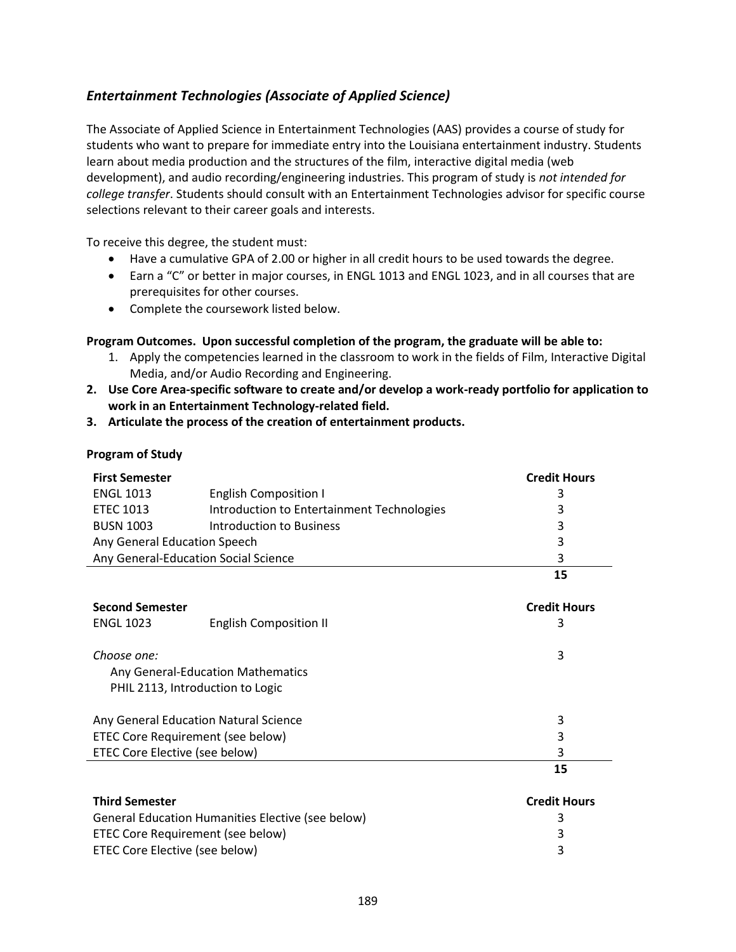### *Entertainment Technologies (Associate of Applied Science)*

The Associate of Applied Science in Entertainment Technologies (AAS) provides a course of study for students who want to prepare for immediate entry into the Louisiana entertainment industry. Students learn about media production and the structures of the film, interactive digital media (web development), and audio recording/engineering industries. This program of study is *not intended for college transfer*. Students should consult with an Entertainment Technologies advisor for specific course selections relevant to their career goals and interests.

To receive this degree, the student must:

- Have a cumulative GPA of 2.00 or higher in all credit hours to be used towards the degree.
- Earn a "C" or better in major courses, in ENGL 1013 and ENGL 1023, and in all courses that are prerequisites for other courses.
- Complete the coursework listed below.

### **Program Outcomes. Upon successful completion of the program, the graduate will be able to:**

- 1. Apply the competencies learned in the classroom to work in the fields of Film, Interactive Digital Media, and/or Audio Recording and Engineering.
- **2. Use Core Area-specific software to create and/or develop a work-ready portfolio for application to work in an Entertainment Technology-related field.**
- **3. Articulate the process of the creation of entertainment products.**

### **Program of Study**

| <b>First Semester</b>                |                                            | <b>Credit Hours</b> |
|--------------------------------------|--------------------------------------------|---------------------|
| <b>ENGL 1013</b>                     | <b>English Composition I</b>               |                     |
| <b>ETEC 1013</b>                     | Introduction to Entertainment Technologies | 3                   |
| <b>BUSN 1003</b>                     | <b>Introduction to Business</b>            | 3                   |
| Any General Education Speech         |                                            | 3                   |
| Any General-Education Social Science |                                            | 3                   |
|                                      |                                            |                     |

| <b>Second Semester</b>                |                               | <b>Credit Hours</b> |
|---------------------------------------|-------------------------------|---------------------|
| <b>ENGL 1023</b>                      | <b>English Composition II</b> | 3                   |
|                                       |                               |                     |
| Choose one:                           |                               | 3                   |
| Any General-Education Mathematics     |                               |                     |
| PHIL 2113, Introduction to Logic      |                               |                     |
| Any General Education Natural Science |                               | 3                   |
| ETEC Core Requirement (see below)     |                               | 3                   |
| ETEC Core Elective (see below)        |                               | 3                   |
|                                       |                               | 15                  |

| <b>Third Semester</b>                             | <b>Credit Hours</b> |
|---------------------------------------------------|---------------------|
| General Education Humanities Elective (see below) |                     |
| ETEC Core Requirement (see below)                 |                     |
| ETEC Core Elective (see below)                    |                     |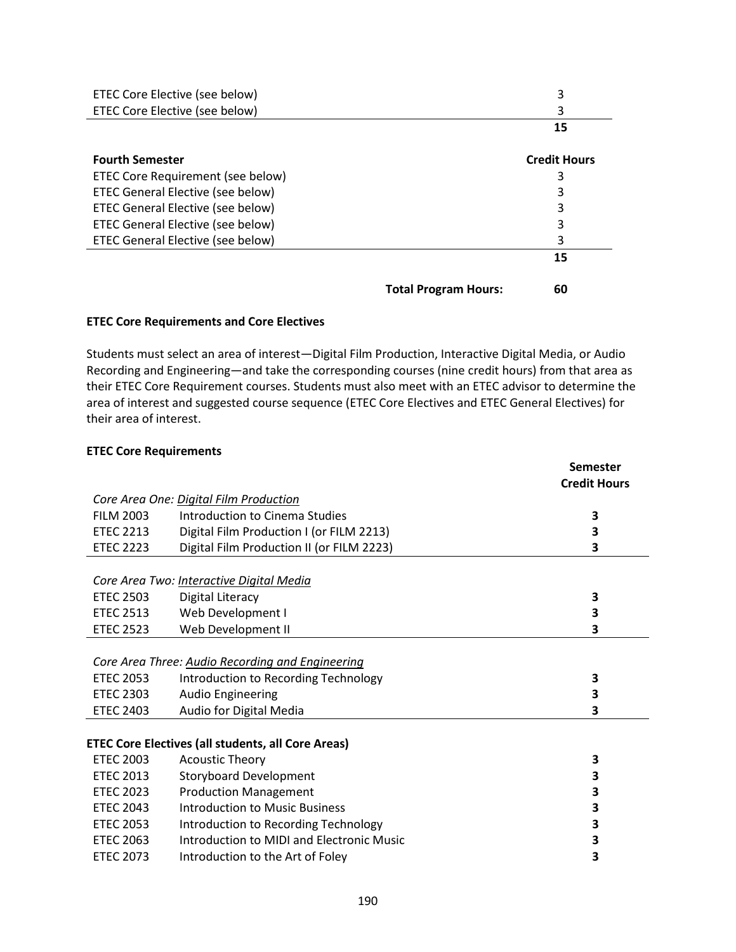| ETEC Core Elective (see below)           |                             | 3                   |
|------------------------------------------|-----------------------------|---------------------|
| ETEC Core Elective (see below)           |                             | 3                   |
|                                          |                             | 15                  |
| <b>Fourth Semester</b>                   |                             | <b>Credit Hours</b> |
| ETEC Core Requirement (see below)        |                             | 3                   |
| <b>ETEC General Elective (see below)</b> |                             | 3                   |
| ETEC General Elective (see below)        |                             | 3                   |
| <b>ETEC General Elective (see below)</b> |                             | 3                   |
| ETEC General Elective (see below)        |                             | 3                   |
|                                          |                             | 15                  |
|                                          | <b>Total Program Hours:</b> | 60                  |

#### **ETEC Core Requirements and Core Electives**

Students must select an area of interest—Digital Film Production, Interactive Digital Media, or Audio Recording and Engineering—and take the corresponding courses (nine credit hours) from that area as their ETEC Core Requirement courses. Students must also meet with an ETEC advisor to determine the area of interest and suggested course sequence (ETEC Core Electives and ETEC General Electives) for their area of interest.

#### **ETEC Core Requirements**

|                  |                                                           | Semester            |
|------------------|-----------------------------------------------------------|---------------------|
|                  |                                                           | <b>Credit Hours</b> |
|                  | Core Area One: Digital Film Production                    |                     |
| <b>FILM 2003</b> | Introduction to Cinema Studies                            | 3                   |
| <b>ETEC 2213</b> | Digital Film Production I (or FILM 2213)                  | 3                   |
| <b>ETEC 2223</b> | Digital Film Production II (or FILM 2223)                 | 3                   |
|                  |                                                           |                     |
|                  | Core Area Two: Interactive Digital Media                  |                     |
| <b>ETEC 2503</b> | Digital Literacy                                          | 3                   |
| <b>ETEC 2513</b> | Web Development I                                         | 3                   |
| <b>ETEC 2523</b> | Web Development II                                        | 3                   |
|                  |                                                           |                     |
|                  | Core Area Three: Audio Recording and Engineering          |                     |
| <b>ETEC 2053</b> | Introduction to Recording Technology                      | 3                   |
| <b>ETEC 2303</b> | <b>Audio Engineering</b>                                  | 3                   |
| <b>ETEC 2403</b> | Audio for Digital Media                                   | 3                   |
|                  |                                                           |                     |
|                  | <b>ETEC Core Electives (all students, all Core Areas)</b> |                     |
| <b>ETEC 2003</b> | <b>Acoustic Theory</b>                                    | 3                   |
| <b>ETEC 2013</b> | <b>Storyboard Development</b>                             | 3                   |
| <b>ETEC 2023</b> | <b>Production Management</b>                              | 3                   |
| <b>ETEC 2043</b> | <b>Introduction to Music Business</b>                     | 3                   |
| <b>ETEC 2053</b> | Introduction to Recording Technology                      | 3                   |
| <b>ETEC 2063</b> | Introduction to MIDI and Electronic Music                 | 3                   |
| <b>ETEC 2073</b> | Introduction to the Art of Foley                          | 3                   |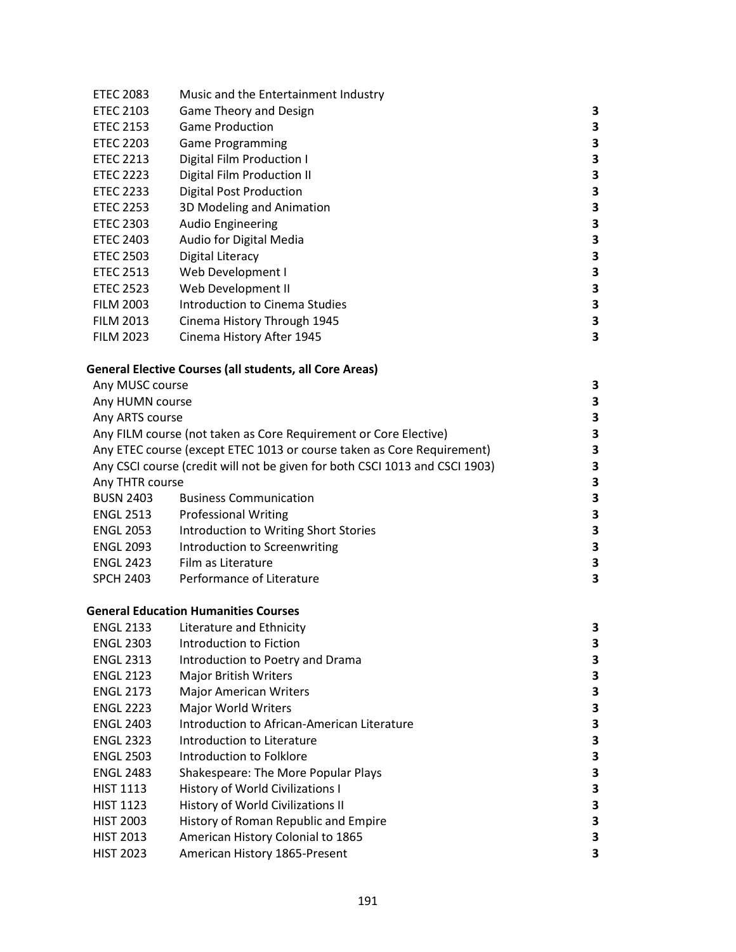| <b>ETEC 2083</b> | Music and the Entertainment Industry |   |
|------------------|--------------------------------------|---|
| <b>ETEC 2103</b> | Game Theory and Design               | 3 |
| <b>ETEC 2153</b> | <b>Game Production</b>               | 3 |
| <b>ETEC 2203</b> | <b>Game Programming</b>              | 3 |
| <b>ETEC 2213</b> | Digital Film Production I            | 3 |
| <b>ETEC 2223</b> | Digital Film Production II           | 3 |
| <b>ETEC 2233</b> | <b>Digital Post Production</b>       | 3 |
| <b>ETEC 2253</b> | 3D Modeling and Animation            | 3 |
| <b>ETEC 2303</b> | <b>Audio Engineering</b>             | З |
| <b>ETEC 2403</b> | Audio for Digital Media              | 3 |
| <b>ETEC 2503</b> | Digital Literacy                     | 3 |
| <b>ETEC 2513</b> | Web Development I                    | 3 |
| <b>ETEC 2523</b> | Web Development II                   | 3 |
| <b>FILM 2003</b> | Introduction to Cinema Studies       | З |
| <b>FILM 2013</b> | Cinema History Through 1945          | З |
| <b>FILM 2023</b> | Cinema History After 1945            | 3 |

# **General Elective Courses (all students, all Core Areas)**

| Any MUSC course  |                                                                             | 3 |
|------------------|-----------------------------------------------------------------------------|---|
| Any HUMN course  |                                                                             | 3 |
| Any ARTS course  |                                                                             | 3 |
|                  | Any FILM course (not taken as Core Requirement or Core Elective)            | 3 |
|                  | Any ETEC course (except ETEC 1013 or course taken as Core Requirement)      | 3 |
|                  | Any CSCI course (credit will not be given for both CSCI 1013 and CSCI 1903) | 3 |
| Any THTR course  |                                                                             | 3 |
| <b>BUSN 2403</b> | <b>Business Communication</b>                                               | 3 |
| <b>ENGL 2513</b> | <b>Professional Writing</b>                                                 | 3 |
| <b>ENGL 2053</b> | Introduction to Writing Short Stories                                       | 3 |
| <b>ENGL 2093</b> | Introduction to Screenwriting                                               | 3 |
| <b>ENGL 2423</b> | Film as Literature                                                          | 3 |
| <b>SPCH 2403</b> | Performance of Literature                                                   |   |
|                  |                                                                             |   |

# **General Education Humanities Courses**

| <b>ENGL 2133</b> | Literature and Ethnicity                    | 3 |
|------------------|---------------------------------------------|---|
| <b>ENGL 2303</b> | Introduction to Fiction                     | 3 |
| <b>ENGL 2313</b> | Introduction to Poetry and Drama            | 3 |
| <b>ENGL 2123</b> | <b>Major British Writers</b>                | 3 |
| <b>ENGL 2173</b> | <b>Major American Writers</b>               | 3 |
| <b>ENGL 2223</b> | <b>Major World Writers</b>                  | 3 |
| <b>ENGL 2403</b> | Introduction to African-American Literature | 3 |
| <b>ENGL 2323</b> | Introduction to Literature                  | 3 |
| <b>ENGL 2503</b> | Introduction to Folklore                    | 3 |
| <b>ENGL 2483</b> | Shakespeare: The More Popular Plays         | 3 |
| <b>HIST 1113</b> | <b>History of World Civilizations I</b>     | 3 |
| <b>HIST 1123</b> | History of World Civilizations II           | 3 |
| <b>HIST 2003</b> | History of Roman Republic and Empire        | 3 |
| <b>HIST 2013</b> | American History Colonial to 1865           | 3 |
| <b>HIST 2023</b> | American History 1865-Present               | 3 |
|                  |                                             |   |